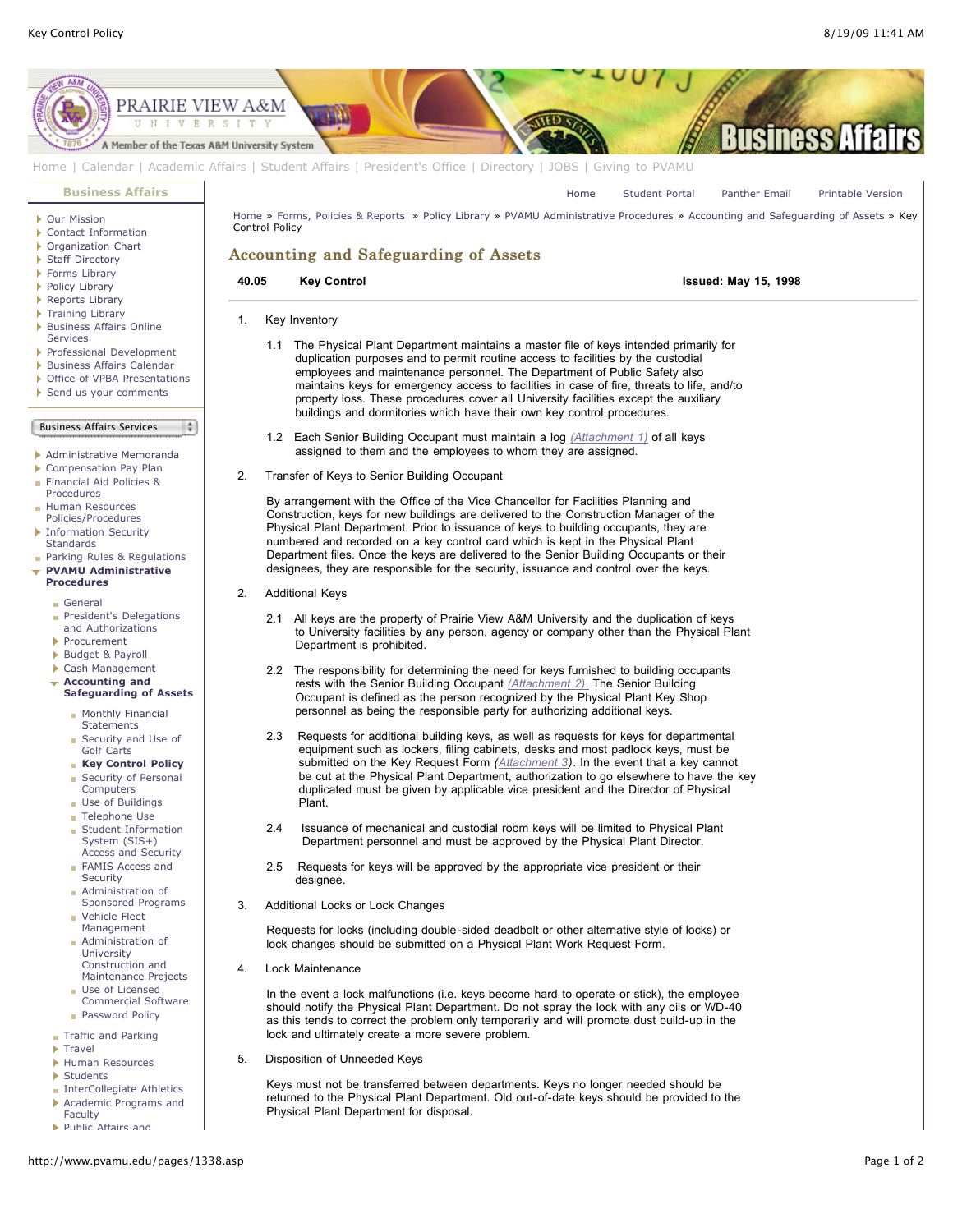